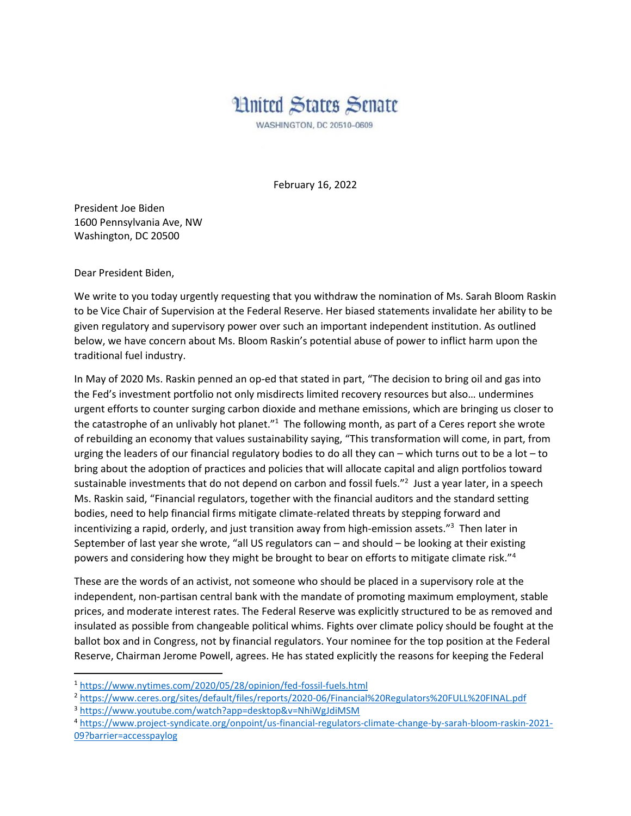## **Hnited States Senate**

WASHINGTON, DC 20510-0609

February 16, 2022

President Joe Biden 1600 Pennsylvania Ave, NW Washington, DC 20500

Dear President Biden,

 $\overline{\phantom{a}}$ 

We write to you today urgently requesting that you withdraw the nomination of Ms. Sarah Bloom Raskin to be Vice Chair of Supervision at the Federal Reserve. Her biased statements invalidate her ability to be given regulatory and supervisory power over such an important independent institution. As outlined below, we have concern about Ms. Bloom Raskin's potential abuse of power to inflict harm upon the traditional fuel industry.

In May of 2020 Ms. Raskin penned an op-ed that stated in part, "The decision to bring oil and gas into the Fed's investment portfolio not only misdirects limited recovery resources but also… undermines urgent efforts to counter surging carbon dioxide and methane emissions, which are bringing us closer to the catastrophe of an unlivably hot planet."<sup>1</sup> The following month, as part of a Ceres report she wrote of rebuilding an economy that values sustainability saying, "This transformation will come, in part, from urging the leaders of our financial regulatory bodies to do all they can – which turns out to be a lot – to bring about the adoption of practices and policies that will allocate capital and align portfolios toward sustainable investments that do not depend on carbon and fossil fuels."<sup>2</sup> Just a year later, in a speech Ms. Raskin said, "Financial regulators, together with the financial auditors and the standard setting bodies, need to help financial firms mitigate climate-related threats by stepping forward and incentivizing a rapid, orderly, and just transition away from high-emission assets."<sup>3</sup> Then later in September of last year she wrote, "all US regulators can – and should – be looking at their existing powers and considering how they might be brought to bear on efforts to mitigate climate risk."<sup>4</sup>

These are the words of an activist, not someone who should be placed in a supervisory role at the independent, non-partisan central bank with the mandate of promoting maximum employment, stable prices, and moderate interest rates. The Federal Reserve was explicitly structured to be as removed and insulated as possible from changeable political whims. Fights over climate policy should be fought at the ballot box and in Congress, not by financial regulators. Your nominee for the top position at the Federal Reserve, Chairman Jerome Powell, agrees. He has stated explicitly the reasons for keeping the Federal

<sup>1</sup> <https://www.nytimes.com/2020/05/28/opinion/fed-fossil-fuels.html>

<sup>2</sup> <https://www.ceres.org/sites/default/files/reports/2020-06/Financial%20Regulators%20FULL%20FINAL.pdf>

<sup>3</sup> <https://www.youtube.com/watch?app=desktop&v=NhiWgJdiMSM>

<sup>4</sup> [https://www.project-syndicate.org/onpoint/us-financial-regulators-climate-change-by-sarah-bloom-raskin-2021-](https://www.project-syndicate.org/onpoint/us-financial-regulators-climate-change-by-sarah-bloom-raskin-2021-09?barrier=accesspaylog) [09?barrier=accesspaylog](https://www.project-syndicate.org/onpoint/us-financial-regulators-climate-change-by-sarah-bloom-raskin-2021-09?barrier=accesspaylog)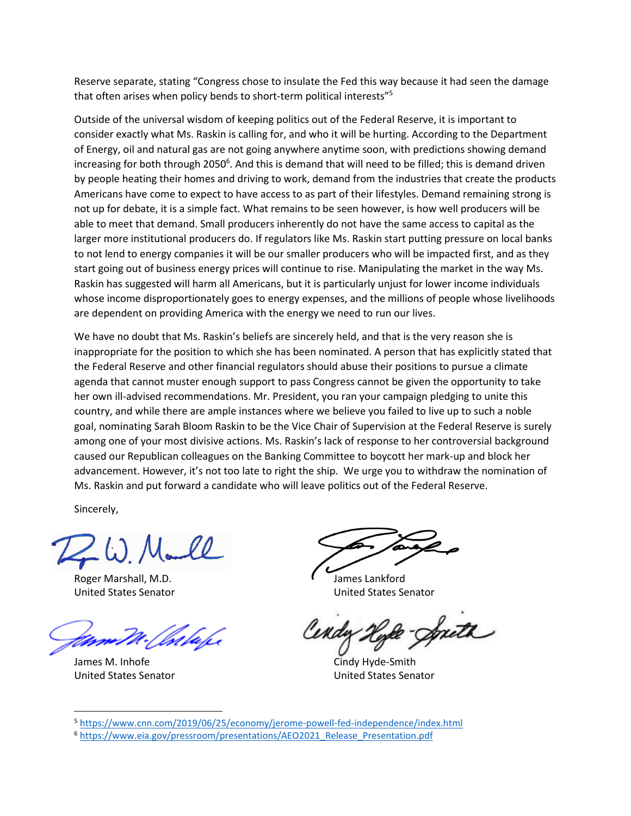Reserve separate, stating "Congress chose to insulate the Fed this way because it had seen the damage that often arises when policy bends to short-term political interests"<sup>5</sup>

Outside of the universal wisdom of keeping politics out of the Federal Reserve, it is important to consider exactly what Ms. Raskin is calling for, and who it will be hurting. According to the Department of Energy, oil and natural gas are not going anywhere anytime soon, with predictions showing demand increasing for both through 2050<sup>6</sup>. And this is demand that will need to be filled; this is demand driven by people heating their homes and driving to work, demand from the industries that create the products Americans have come to expect to have access to as part of their lifestyles. Demand remaining strong is not up for debate, it is a simple fact. What remains to be seen however, is how well producers will be able to meet that demand. Small producers inherently do not have the same access to capital as the larger more institutional producers do. If regulators like Ms. Raskin start putting pressure on local banks to not lend to energy companies it will be our smaller producers who will be impacted first, and as they start going out of business energy prices will continue to rise. Manipulating the market in the way Ms. Raskin has suggested will harm all Americans, but it is particularly unjust for lower income individuals whose income disproportionately goes to energy expenses, and the millions of people whose livelihoods are dependent on providing America with the energy we need to run our lives.

We have no doubt that Ms. Raskin's beliefs are sincerely held, and that is the very reason she is inappropriate for the position to which she has been nominated. A person that has explicitly stated that the Federal Reserve and other financial regulators should abuse their positions to pursue a climate agenda that cannot muster enough support to pass Congress cannot be given the opportunity to take her own ill-advised recommendations. Mr. President, you ran your campaign pledging to unite this country, and while there are ample instances where we believe you failed to live up to such a noble goal, nominating Sarah Bloom Raskin to be the Vice Chair of Supervision at the Federal Reserve is surely among one of your most divisive actions. Ms. Raskin's lack of response to her controversial background caused our Republican colleagues on the Banking Committee to boycott her mark-up and block her advancement. However, it's not too late to right the ship. We urge you to withdraw the nomination of Ms. Raskin and put forward a candidate who will leave politics out of the Federal Reserve.

Sincerely,

Roger Marshall, M.D. Same Controller Controller Controller Controller Controller Controller Controller Controller Controller Controller Controller Controller Controller Controller Controller Controller Controller Controlle

James M. Inhofe Cindy Hyde-Smith United States Senator United States Senator

 $\overline{\phantom{a}}$ 

United States Senator United States Senator

South

<sup>5</sup> <https://www.cnn.com/2019/06/25/economy/jerome-powell-fed-independence/index.html>

<sup>6</sup> [https://www.eia.gov/pressroom/presentations/AEO2021\\_Release\\_Presentation.pdf](https://www.eia.gov/pressroom/presentations/AEO2021_Release_Presentation.pdf)